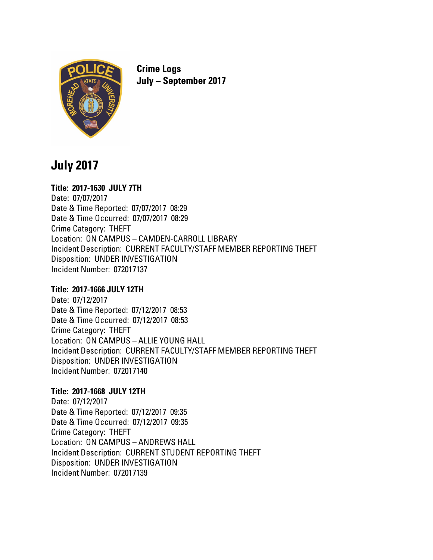

**Crime Logs July – September 2017**

# **July 2017**

# **Title: 2017-1630 JULY 7TH**

Date: 07/07/2017 Date & Time Reported: 07/07/2017 08:29 Date & Time Occurred: 07/07/2017 08:29 Crime Category: THEFT Location: ON CAMPUS – CAMDEN-CARROLL LIBRARY Incident Description: CURRENT FACULTY/STAFF MEMBER REPORTING THEFT Disposition: UNDER INVESTIGATION Incident Number: 072017137

# **Title: 2017-1666 JULY 12TH**

Date: 07/12/2017 Date & Time Reported: 07/12/2017 08:53 Date & Time Occurred: 07/12/2017 08:53 Crime Category: THEFT Location: ON CAMPUS – ALLIE YOUNG HALL Incident Description: CURRENT FACULTY/STAFF MEMBER REPORTING THEFT Disposition: UNDER INVESTIGATION Incident Number: 072017140

# **Title: 2017-1668 JULY 12TH**

Date: 07/12/2017 Date & Time Reported: 07/12/2017 09:35 Date & Time Occurred: 07/12/2017 09:35 Crime Category: THEFT Location: ON CAMPUS – ANDREWS HALL Incident Description: CURRENT STUDENT REPORTING THEFT Disposition: UNDER INVESTIGATION Incident Number: 072017139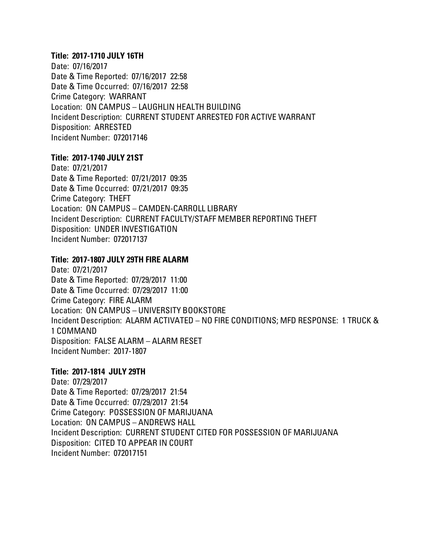### **Title: 2017-1710 JULY 16TH**

Date: 07/16/2017 Date & Time Reported: 07/16/2017 22:58 Date & Time Occurred: 07/16/2017 22:58 Crime Category: WARRANT Location: ON CAMPUS – LAUGHLIN HEALTH BUILDING Incident Description: CURRENT STUDENT ARRESTED FOR ACTIVE WARRANT Disposition: ARRESTED Incident Number: 072017146

### **Title: 2017-1740 JULY 21ST**

Date: 07/21/2017 Date & Time Reported: 07/21/2017 09:35 Date & Time Occurred: 07/21/2017 09:35 Crime Category: THEFT Location: ON CAMPUS – CAMDEN-CARROLL LIBRARY Incident Description: CURRENT FACULTY/STAFF MEMBER REPORTING THEFT Disposition: UNDER INVESTIGATION Incident Number: 072017137

# **Title: 2017-1807 JULY 29TH FIRE ALARM**

Date: 07/21/2017 Date & Time Reported: 07/29/2017 11:00 Date & Time Occurred: 07/29/2017 11:00 Crime Category: FIRE ALARM Location: ON CAMPUS – UNIVERSITY BOOKSTORE Incident Description: ALARM ACTIVATED – NO FIRE CONDITIONS; MFD RESPONSE: 1 TRUCK & 1 COMMAND Disposition: FALSE ALARM – ALARM RESET Incident Number: 2017-1807

# **Title: 2017-1814 JULY 29TH**

Date: 07/29/2017 Date & Time Reported: 07/29/2017 21:54 Date & Time Occurred: 07/29/2017 21:54 Crime Category: POSSESSION OF MARIJUANA Location: ON CAMPUS – ANDREWS HALL Incident Description: CURRENT STUDENT CITED FOR POSSESSION OF MARIJUANA Disposition: CITED TO APPEAR IN COURT Incident Number: 072017151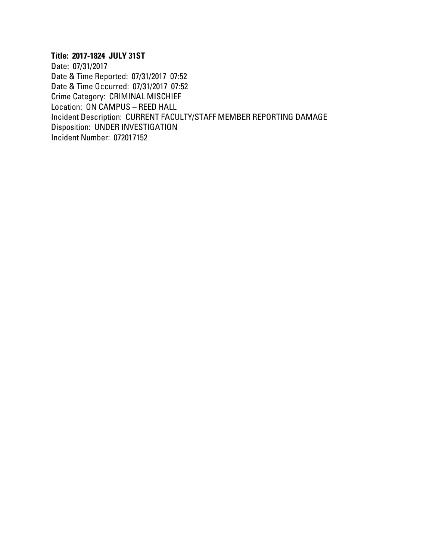# **Title: 2017-1824 JULY 31ST**

Date: 07/31/2017 Date & Time Reported: 07/31/2017 07:52 Date & Time Occurred: 07/31/2017 07:52 Crime Category: CRIMINAL MISCHIEF Location: ON CAMPUS – REED HALL Incident Description: CURRENT FACULTY/STAFF MEMBER REPORTING DAMAGE Disposition: UNDER INVESTIGATION Incident Number: 072017152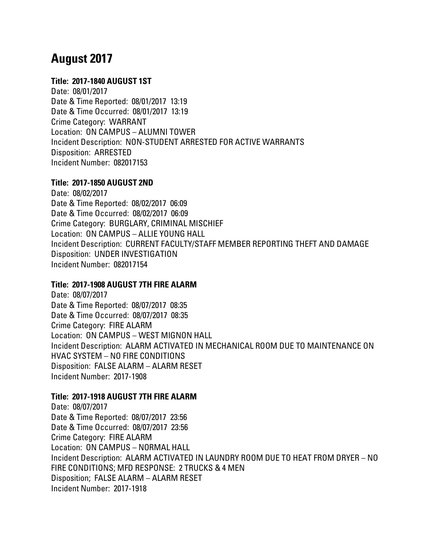# **August 2017**

# **Title: 2017-1840 AUGUST 1ST**

Date: 08/01/2017 Date & Time Reported: 08/01/2017 13:19 Date & Time Occurred: 08/01/2017 13:19 Crime Category: WARRANT Location: ON CAMPUS – ALUMNI TOWER Incident Description: NON-STUDENT ARRESTED FOR ACTIVE WARRANTS Disposition: ARRESTED Incident Number: 082017153

# **Title: 2017-1850 AUGUST 2ND**

Date: 08/02/2017 Date & Time Reported: 08/02/2017 06:09 Date & Time Occurred: 08/02/2017 06:09 Crime Category: BURGLARY, CRIMINAL MISCHIEF Location: ON CAMPUS – ALLIE YOUNG HALL Incident Description: CURRENT FACULTY/STAFF MEMBER REPORTING THEFT AND DAMAGE Disposition: UNDER INVESTIGATION Incident Number: 082017154

# **Title: 2017-1908 AUGUST 7TH FIRE ALARM**

Date: 08/07/2017 Date & Time Reported: 08/07/2017 08:35 Date & Time Occurred: 08/07/2017 08:35 Crime Category: FIRE ALARM Location: ON CAMPUS – WEST MIGNON HALL Incident Description: ALARM ACTIVATED IN MECHANICAL ROOM DUE TO MAINTENANCE ON HVAC SYSTEM – NO FIRE CONDITIONS Disposition: FALSE ALARM – ALARM RESET Incident Number: 2017-1908

# **Title: 2017-1918 AUGUST 7TH FIRE ALARM**

Date: 08/07/2017 Date & Time Reported: 08/07/2017 23:56 Date & Time Occurred: 08/07/2017 23:56 Crime Category: FIRE ALARM Location: ON CAMPUS – NORMAL HALL Incident Description: ALARM ACTIVATED IN LAUNDRY ROOM DUE TO HEAT FROM DRYER – NO FIRE CONDITIONS; MFD RESPONSE: 2 TRUCKS & 4 MEN Disposition; FALSE ALARM – ALARM RESET Incident Number: 2017-1918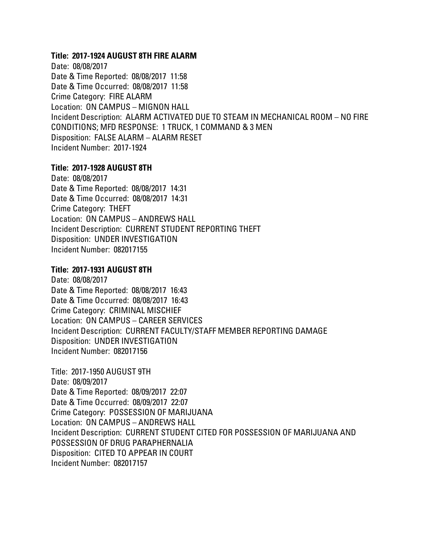#### **Title: 2017-1924 AUGUST 8TH FIRE ALARM**

Date: 08/08/2017 Date & Time Reported: 08/08/2017 11:58 Date & Time Occurred: 08/08/2017 11:58 Crime Category: FIRE ALARM Location: ON CAMPUS – MIGNON HALL Incident Description: ALARM ACTIVATED DUE TO STEAM IN MECHANICAL ROOM – NO FIRE CONDITIONS; MFD RESPONSE: 1 TRUCK, 1 COMMAND & 3 MEN Disposition: FALSE ALARM – ALARM RESET Incident Number: 2017-1924

### **Title: 2017-1928 AUGUST 8TH**

Date: 08/08/2017 Date & Time Reported: 08/08/2017 14:31 Date & Time Occurred: 08/08/2017 14:31 Crime Category: THEFT Location: ON CAMPUS – ANDREWS HALL Incident Description: CURRENT STUDENT REPORTING THEFT Disposition: UNDER INVESTIGATION Incident Number: 082017155

### **Title: 2017-1931 AUGUST 8TH**

Date: 08/08/2017 Date & Time Reported: 08/08/2017 16:43 Date & Time Occurred: 08/08/2017 16:43 Crime Category: CRIMINAL MISCHIEF Location: ON CAMPUS – CAREER SERVICES Incident Description: CURRENT FACULTY/STAFF MEMBER REPORTING DAMAGE Disposition: UNDER INVESTIGATION Incident Number: 082017156

Title: 2017-1950 AUGUST 9TH Date: 08/09/2017 Date & Time Reported: 08/09/2017 22:07 Date & Time Occurred: 08/09/2017 22:07 Crime Category: POSSESSION OF MARIJUANA Location: ON CAMPUS – ANDREWS HALL Incident Description: CURRENT STUDENT CITED FOR POSSESSION OF MARIJUANA AND POSSESSION OF DRUG PARAPHERNALIA Disposition: CITED TO APPEAR IN COURT Incident Number: 082017157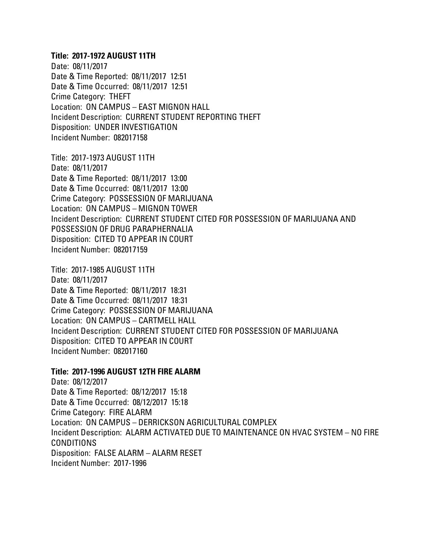### **Title: 2017-1972 AUGUST 11TH**

Date: 08/11/2017 Date & Time Reported: 08/11/2017 12:51 Date & Time Occurred: 08/11/2017 12:51 Crime Category: THEFT Location: ON CAMPUS – EAST MIGNON HALL Incident Description: CURRENT STUDENT REPORTING THEFT Disposition: UNDER INVESTIGATION Incident Number: 082017158

Title: 2017-1973 AUGUST 11TH Date: 08/11/2017 Date & Time Reported: 08/11/2017 13:00 Date & Time Occurred: 08/11/2017 13:00 Crime Category: POSSESSION OF MARIJUANA Location: ON CAMPUS – MIGNON TOWER Incident Description: CURRENT STUDENT CITED FOR POSSESSION OF MARIJUANA AND POSSESSION OF DRUG PARAPHERNALIA Disposition: CITED TO APPEAR IN COURT Incident Number: 082017159

Title: 2017-1985 AUGUST 11TH Date: 08/11/2017 Date & Time Reported: 08/11/2017 18:31 Date & Time Occurred: 08/11/2017 18:31 Crime Category: POSSESSION OF MARIJUANA Location: ON CAMPUS – CARTMELL HALL Incident Description: CURRENT STUDENT CITED FOR POSSESSION OF MARIJUANA Disposition: CITED TO APPEAR IN COURT Incident Number: 082017160

#### **Title: 2017-1996 AUGUST 12TH FIRE ALARM**

Date: 08/12/2017 Date & Time Reported: 08/12/2017 15:18 Date & Time Occurred: 08/12/2017 15:18 Crime Category: FIRE ALARM Location: ON CAMPUS – DERRICKSON AGRICULTURAL COMPLEX Incident Description: ALARM ACTIVATED DUE TO MAINTENANCE ON HVAC SYSTEM – NO FIRE CONDITIONS Disposition: FALSE ALARM – ALARM RESET Incident Number: 2017-1996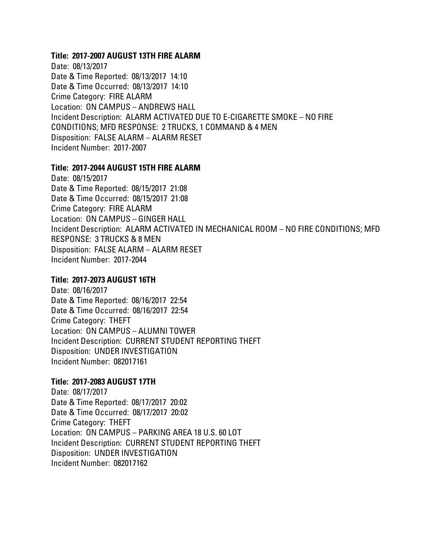#### **Title: 2017-2007 AUGUST 13TH FIRE ALARM**

Date: 08/13/2017 Date & Time Reported: 08/13/2017 14:10 Date & Time Occurred: 08/13/2017 14:10 Crime Category: FIRE ALARM Location: ON CAMPUS – ANDREWS HALL Incident Description: ALARM ACTIVATED DUE TO E-CIGARETTE SMOKE – NO FIRE CONDITIONS; MFD RESPONSE: 2 TRUCKS, 1 COMMAND & 4 MEN Disposition: FALSE ALARM – ALARM RESET Incident Number: 2017-2007

### **Title: 2017-2044 AUGUST 15TH FIRE ALARM**

Date: 08/15/2017 Date & Time Reported: 08/15/2017 21:08 Date & Time Occurred: 08/15/2017 21:08 Crime Category: FIRE ALARM Location: ON CAMPUS – GINGER HALL Incident Description: ALARM ACTIVATED IN MECHANICAL ROOM – NO FIRE CONDITIONS; MFD RESPONSE: 3 TRUCKS & 8 MEN Disposition: FALSE ALARM – ALARM RESET Incident Number: 2017-2044

# **Title: 2017-2073 AUGUST 16TH**

Date: 08/16/2017 Date & Time Reported: 08/16/2017 22:54 Date & Time Occurred: 08/16/2017 22:54 Crime Category: THEFT Location: ON CAMPUS – ALUMNI TOWER Incident Description: CURRENT STUDENT REPORTING THEFT Disposition: UNDER INVESTIGATION Incident Number: 082017161

# **Title: 2017-2083 AUGUST 17TH**

Date: 08/17/2017 Date & Time Reported: 08/17/2017 20:02 Date & Time Occurred: 08/17/2017 20:02 Crime Category: THEFT Location: ON CAMPUS – PARKING AREA 18 U.S. 60 LOT Incident Description: CURRENT STUDENT REPORTING THEFT Disposition: UNDER INVESTIGATION Incident Number: 082017162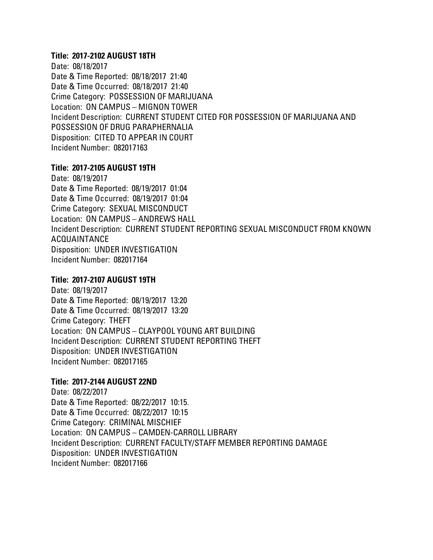#### **Title: 2017-2102 AUGUST 18TH**

Date: 08/18/2017 Date & Time Reported: 08/18/2017 21:40 Date & Time Occurred: 08/18/2017 21:40 Crime Category: POSSESSION OF MARIJUANA Location: ON CAMPUS – MIGNON TOWER Incident Description: CURRENT STUDENT CITED FOR POSSESSION OF MARIJUANA AND POSSESSION OF DRUG PARAPHERNALIA Disposition: CITED TO APPEAR IN COURT Incident Number: 082017163

# **Title: 2017-2105 AUGUST 19TH**

Date: 08/19/2017 Date & Time Reported: 08/19/2017 01:04 Date & Time Occurred: 08/19/2017 01:04 Crime Category: SEXUAL MISCONDUCT Location: ON CAMPUS – ANDREWS HALL Incident Description: CURRENT STUDENT REPORTING SEXUAL MISCONDUCT FROM KNOWN ACQUAINTANCE Disposition: UNDER INVESTIGATION Incident Number: 082017164

# **Title: 2017-2107 AUGUST 19TH**

Date: 08/19/2017 Date & Time Reported: 08/19/2017 13:20 Date & Time Occurred: 08/19/2017 13:20 Crime Category: THEFT Location: ON CAMPUS – CLAYPOOL YOUNG ART BUILDING Incident Description: CURRENT STUDENT REPORTING THEFT Disposition: UNDER INVESTIGATION Incident Number: 082017165

# **Title: 2017-2144 AUGUST 22ND**

Date: 08/22/2017 Date & Time Reported: 08/22/2017 10:15. Date & Time Occurred: 08/22/2017 10:15 Crime Category: CRIMINAL MISCHIEF Location: ON CAMPUS – CAMDEN-CARROLL LIBRARY Incident Description: CURRENT FACULTY/STAFF MEMBER REPORTING DAMAGE Disposition: UNDER INVESTIGATION Incident Number: 082017166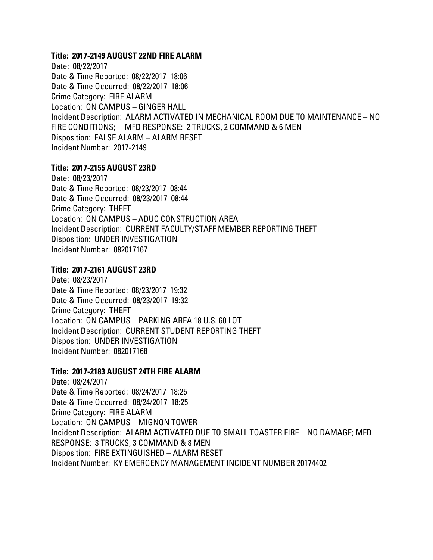#### **Title: 2017-2149 AUGUST 22ND FIRE ALARM**

Date: 08/22/2017 Date & Time Reported: 08/22/2017 18:06 Date & Time Occurred: 08/22/2017 18:06 Crime Category: FIRE ALARM Location: ON CAMPUS – GINGER HALL Incident Description: ALARM ACTIVATED IN MECHANICAL ROOM DUE TO MAINTENANCE – NO FIRE CONDITIONS; MFD RESPONSE: 2 TRUCKS, 2 COMMAND & 6 MEN Disposition: FALSE ALARM – ALARM RESET Incident Number: 2017-2149

### **Title: 2017-2155 AUGUST 23RD**

Date: 08/23/2017 Date & Time Reported: 08/23/2017 08:44 Date & Time Occurred: 08/23/2017 08:44 Crime Category: THEFT Location: ON CAMPUS – ADUC CONSTRUCTION AREA Incident Description: CURRENT FACULTY/STAFF MEMBER REPORTING THEFT Disposition: UNDER INVESTIGATION Incident Number: 082017167

# **Title: 2017-2161 AUGUST 23RD**

Date: 08/23/2017 Date & Time Reported: 08/23/2017 19:32 Date & Time Occurred: 08/23/2017 19:32 Crime Category: THEFT Location: ON CAMPUS – PARKING AREA 18 U.S. 60 LOT Incident Description: CURRENT STUDENT REPORTING THEFT Disposition: UNDER INVESTIGATION Incident Number: 082017168

#### **Title: 2017-2183 AUGUST 24TH FIRE ALARM**

Date: 08/24/2017 Date & Time Reported: 08/24/2017 18:25 Date & Time Occurred: 08/24/2017 18:25 Crime Category: FIRE ALARM Location: ON CAMPUS – MIGNON TOWER Incident Description: ALARM ACTIVATED DUE TO SMALL TOASTER FIRE – NO DAMAGE; MFD RESPONSE: 3 TRUCKS, 3 COMMAND & 8 MEN Disposition: FIRE EXTINGUISHED – ALARM RESET Incident Number: KY EMERGENCY MANAGEMENT INCIDENT NUMBER 20174402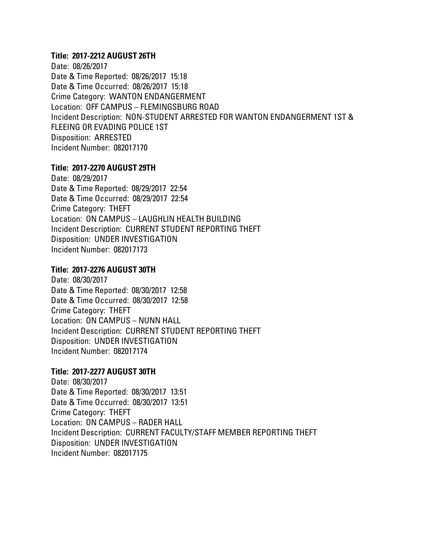### **Title: 2017-2212 AUGUST 26TH**

Date: 08/26/2017 Date & Time Reported: 08/26/2017 15:18 Date & Time Occurred: 08/26/2017 15:18 Crime Category: WANTON ENDANGERMENT Location: OFF CAMPUS – FLEMINGSBURG ROAD Incident Description: NON-STUDENT ARRESTED FOR WANTON ENDANGERMENT 1ST & FLEEING OR EVADING POLICE 1ST Disposition: ARRESTED Incident Number: 082017170

# **Title: 2017-2270 AUGUST 29TH**

Date: 08/29/2017 Date & Time Reported: 08/29/2017 22:54 Date & Time Occurred: 08/29/2017 22:54 Crime Category: THEFT Location: ON CAMPUS – LAUGHLIN HEALTH BUILDING Incident Description: CURRENT STUDENT REPORTING THEFT Disposition: UNDER INVESTIGATION Incident Number: 082017173

# **Title: 2017-2276 AUGUST 30TH**

Date: 08/30/2017 Date & Time Reported: 08/30/2017 12:58 Date & Time Occurred: 08/30/2017 12:58 Crime Category: THEFT Location: ON CAMPUS – NUNN HALL Incident Description: CURRENT STUDENT REPORTING THEFT Disposition: UNDER INVESTIGATION Incident Number: 082017174

# **Title: 2017-2277 AUGUST 30TH**

Date: 08/30/2017 Date & Time Reported: 08/30/2017 13:51 Date & Time Occurred: 08/30/2017 13:51 Crime Category: THEFT Location: ON CAMPUS – RADER HALL Incident Description: CURRENT FACULTY/STAFF MEMBER REPORTING THEFT Disposition: UNDER INVESTIGATION Incident Number: 082017175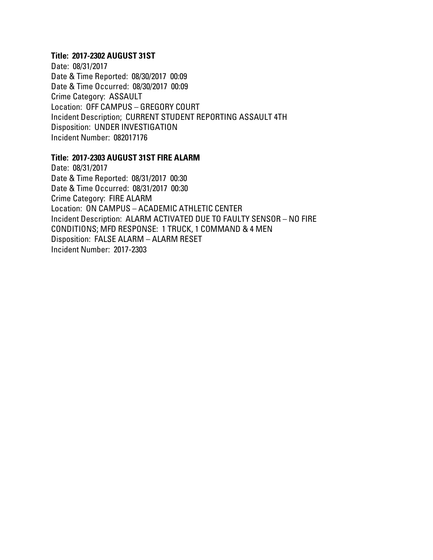#### **Title: 2017-2302 AUGUST 31ST**

Date: 08/31/2017 Date & Time Reported: 08/30/2017 00:09 Date & Time Occurred: 08/30/2017 00:09 Crime Category: ASSAULT Location: OFF CAMPUS – GREGORY COURT Incident Description; CURRENT STUDENT REPORTING ASSAULT 4TH Disposition: UNDER INVESTIGATION Incident Number: 082017176

#### **Title: 2017-2303 AUGUST 31ST FIRE ALARM**

Date: 08/31/2017 Date & Time Reported: 08/31/2017 00:30 Date & Time Occurred: 08/31/2017 00:30 Crime Category: FIRE ALARM Location: ON CAMPUS – ACADEMIC ATHLETIC CENTER Incident Description: ALARM ACTIVATED DUE TO FAULTY SENSOR – NO FIRE CONDITIONS; MFD RESPONSE: 1 TRUCK, 1 COMMAND & 4 MEN Disposition: FALSE ALARM – ALARM RESET Incident Number: 2017-2303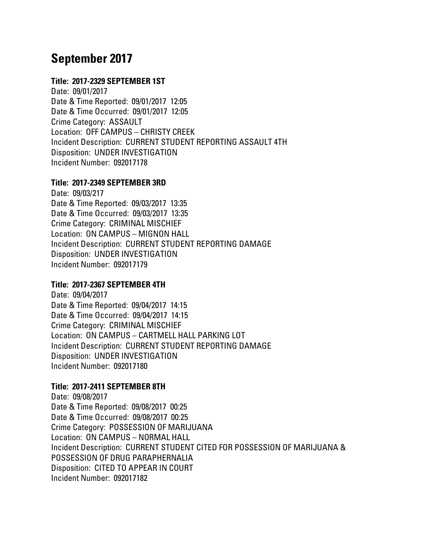# **September 2017**

# **Title: 2017-2329 SEPTEMBER 1ST**

Date: 09/01/2017 Date & Time Reported: 09/01/2017 12:05 Date & Time Occurred: 09/01/2017 12:05 Crime Category: ASSAULT Location: OFF CAMPUS – CHRISTY CREEK Incident Description: CURRENT STUDENT REPORTING ASSAULT 4TH Disposition: UNDER INVESTIGATION Incident Number: 092017178

# **Title: 2017-2349 SEPTEMBER 3RD**

Date: 09/03/217 Date & Time Reported: 09/03/2017 13:35 Date & Time Occurred: 09/03/2017 13:35 Crime Category: CRIMINAL MISCHIEF Location: ON CAMPUS – MIGNON HALL Incident Description: CURRENT STUDENT REPORTING DAMAGE Disposition: UNDER INVESTIGATION Incident Number: 092017179

# **Title: 2017-2367 SEPTEMBER 4TH**

Date: 09/04/2017 Date & Time Reported: 09/04/2017 14:15 Date & Time Occurred: 09/04/2017 14:15 Crime Category: CRIMINAL MISCHIEF Location: ON CAMPUS – CARTMELL HALL PARKING LOT Incident Description: CURRENT STUDENT REPORTING DAMAGE Disposition: UNDER INVESTIGATION Incident Number: 092017180

# **Title: 2017-2411 SEPTEMBER 8TH**

Date: 09/08/2017 Date & Time Reported: 09/08/2017 00:25 Date & Time Occurred: 09/08/2017 00:25 Crime Category: POSSESSION OF MARIJUANA Location: ON CAMPUS – NORMAL HALL Incident Description: CURRENT STUDENT CITED FOR POSSESSION OF MARIJUANA & POSSESSION OF DRUG PARAPHERNALIA Disposition: CITED TO APPEAR IN COURT Incident Number: 092017182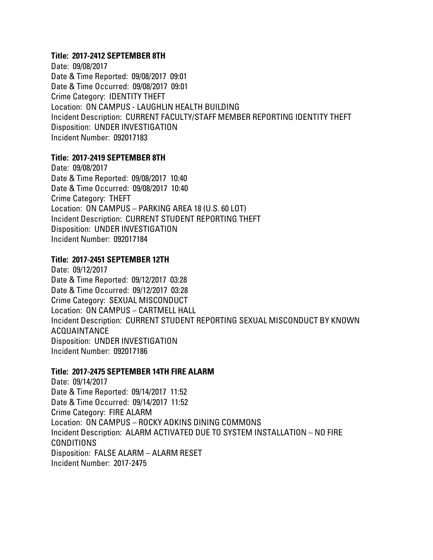#### **Title: 2017-2412 SEPTEMBER 8TH**

Date: 09/08/2017 Date & Time Reported: 09/08/2017 09:01 Date & Time Occurred: 09/08/2017 09:01 Crime Category: IDENTITY THEFT Location: ON CAMPUS - LAUGHLIN HEALTH BUILDING Incident Description: CURRENT FACULTY/STAFF MEMBER REPORTING IDENTITY THEFT Disposition: UNDER INVESTIGATION Incident Number: 092017183

# **Title: 2017-2419 SEPTEMBER 8TH**

Date: 09/08/2017 Date & Time Reported: 09/08/2017 10:40 Date & Time Occurred: 09/08/2017 10:40 Crime Category: THEFT Location: ON CAMPUS – PARKING AREA 18 (U.S. 60 LOT) Incident Description: CURRENT STUDENT REPORTING THEFT Disposition: UNDER INVESTIGATION Incident Number: 092017184

### **Title: 2017-2451 SEPTEMBER 12TH**

Date: 09/12/2017 Date & Time Reported: 09/12/2017 03:28 Date & Time Occurred: 09/12/2017 03:28 Crime Category: SEXUAL MISCONDUCT Location: ON CAMPUS – CARTMELL HALL Incident Description: CURRENT STUDENT REPORTING SEXUAL MISCONDUCT BY KNOWN ACQUAINTANCE Disposition: UNDER INVESTIGATION Incident Number: 092017186

#### **Title: 2017-2475 SEPTEMBER 14TH FIRE ALARM**

Date: 09/14/2017 Date & Time Reported: 09/14/2017 11:52 Date & Time Occurred: 09/14/2017 11:52 Crime Category: FIRE ALARM Location: ON CAMPUS – ROCKY ADKINS DINING COMMONS Incident Description: ALARM ACTIVATED DUE TO SYSTEM INSTALLATION – NO FIRE CONDITIONS Disposition: FALSE ALARM – ALARM RESET Incident Number: 2017-2475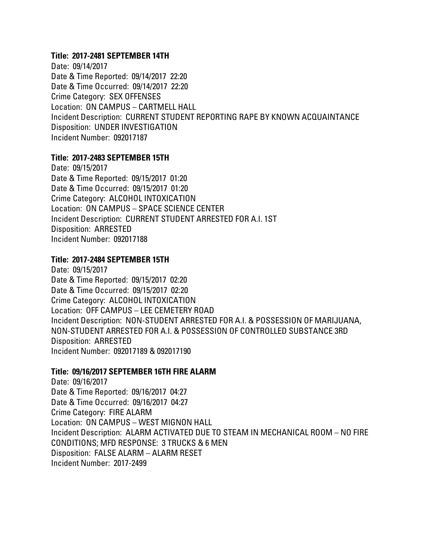#### **Title: 2017-2481 SEPTEMBER 14TH**

Date: 09/14/2017 Date & Time Reported: 09/14/2017 22:20 Date & Time Occurred: 09/14/2017 22:20 Crime Category: SEX OFFENSES Location: ON CAMPUS – CARTMELL HALL Incident Description: CURRENT STUDENT REPORTING RAPE BY KNOWN ACQUAINTANCE Disposition: UNDER INVESTIGATION Incident Number: 092017187

# **Title: 2017-2483 SEPTEMBER 15TH**

Date: 09/15/2017 Date & Time Reported: 09/15/2017 01:20 Date & Time Occurred: 09/15/2017 01:20 Crime Category: ALCOHOL INTOXICATION Location: ON CAMPUS – SPACE SCIENCE CENTER Incident Description: CURRENT STUDENT ARRESTED FOR A.I. 1ST Disposition: ARRESTED Incident Number: 092017188

# **Title: 2017-2484 SEPTEMBER 15TH**

Date: 09/15/2017 Date & Time Reported: 09/15/2017 02:20 Date & Time Occurred: 09/15/2017 02:20 Crime Category: ALCOHOL INTOXICATION Location: OFF CAMPUS – LEE CEMETERY ROAD Incident Description: NON-STUDENT ARRESTED FOR A.I. & POSSESSION OF MARIJUANA, NON-STUDENT ARRESTED FOR A.I. & POSSESSION OF CONTROLLED SUBSTANCE 3RD Disposition: ARRESTED Incident Number: 092017189 & 092017190

#### **Title: 09/16/2017 SEPTEMBER 16TH FIRE ALARM**

Date: 09/16/2017 Date & Time Reported: 09/16/2017 04:27 Date & Time Occurred: 09/16/2017 04:27 Crime Category: FIRE ALARM Location: ON CAMPUS – WEST MIGNON HALL Incident Description: ALARM ACTIVATED DUE TO STEAM IN MECHANICAL ROOM – NO FIRE CONDITIONS; MFD RESPONSE: 3 TRUCKS & 6 MEN Disposition: FALSE ALARM – ALARM RESET Incident Number: 2017-2499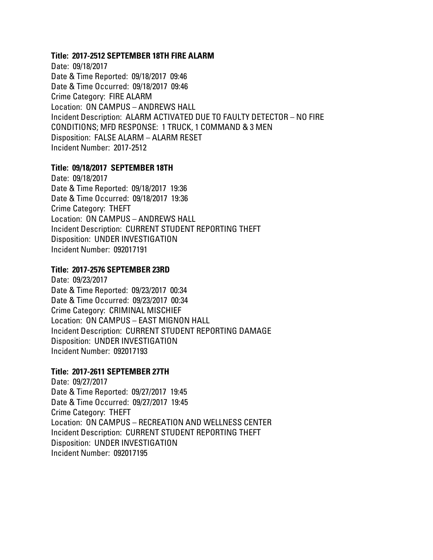#### **Title: 2017-2512 SEPTEMBER 18TH FIRE ALARM**

Date: 09/18/2017 Date & Time Reported: 09/18/2017 09:46 Date & Time Occurred: 09/18/2017 09:46 Crime Category: FIRE ALARM Location: ON CAMPUS – ANDREWS HALL Incident Description: ALARM ACTIVATED DUE TO FAULTY DETECTOR – NO FIRE CONDITIONS; MFD RESPONSE: 1 TRUCK, 1 COMMAND & 3 MEN Disposition: FALSE ALARM – ALARM RESET Incident Number: 2017-2512

### **Title: 09/18/2017 SEPTEMBER 18TH**

Date: 09/18/2017 Date & Time Reported: 09/18/2017 19:36 Date & Time Occurred: 09/18/2017 19:36 Crime Category: THEFT Location: ON CAMPUS – ANDREWS HALL Incident Description: CURRENT STUDENT REPORTING THEFT Disposition: UNDER INVESTIGATION Incident Number: 092017191

### **Title: 2017-2576 SEPTEMBER 23RD**

Date: 09/23/2017 Date & Time Reported: 09/23/2017 00:34 Date & Time Occurred: 09/23/2017 00:34 Crime Category: CRIMINAL MISCHIEF Location: ON CAMPUS – EAST MIGNON HALL Incident Description: CURRENT STUDENT REPORTING DAMAGE Disposition: UNDER INVESTIGATION Incident Number: 092017193

#### **Title: 2017-2611 SEPTEMBER 27TH**

Date: 09/27/2017 Date & Time Reported: 09/27/2017 19:45 Date & Time Occurred: 09/27/2017 19:45 Crime Category: THEFT Location: ON CAMPUS – RECREATION AND WELLNESS CENTER Incident Description: CURRENT STUDENT REPORTING THEFT Disposition: UNDER INVESTIGATION Incident Number: 092017195